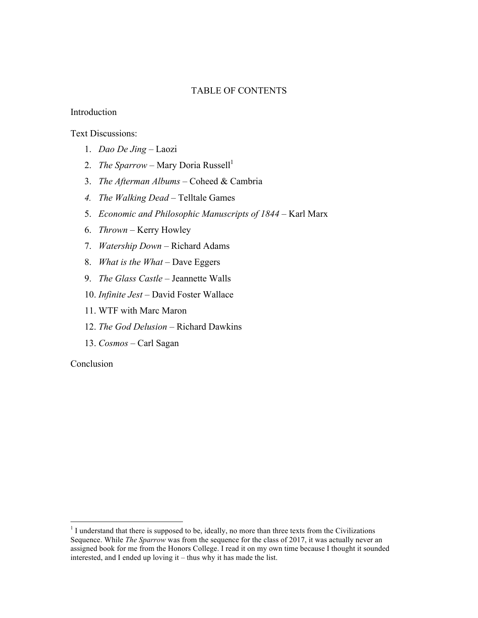## TABLE OF CONTENTS

#### Introduction

Text Discussions:

- 1. *Dao De Jing* Laozi
- 2. *The Sparrow* Mary Doria Russell<sup>1</sup>
- 3. *The Afterman Albums* Coheed & Cambria
- *4. The Walking Dead* Telltale Games
- 5. *Economic and Philosophic Manuscripts of 1844* Karl Marx
- 6. *Thrown* Kerry Howley
- 7. *Watership Down* Richard Adams
- 8. *What is the What* Dave Eggers
- 9. *The Glass Castle* Jeannette Walls
- 10. *Infinite Jest* David Foster Wallace
- 11. WTF with Marc Maron
- 12. *The God Delusion* Richard Dawkins
- 13. *Cosmos* Carl Sagan

Conclusion

 $<sup>1</sup>$  I understand that there is supposed to be, ideally, no more than three texts from the Civilizations</sup> Sequence. While *The Sparrow* was from the sequence for the class of 2017, it was actually never an assigned book for me from the Honors College. I read it on my own time because I thought it sounded interested, and I ended up loving it – thus why it has made the list.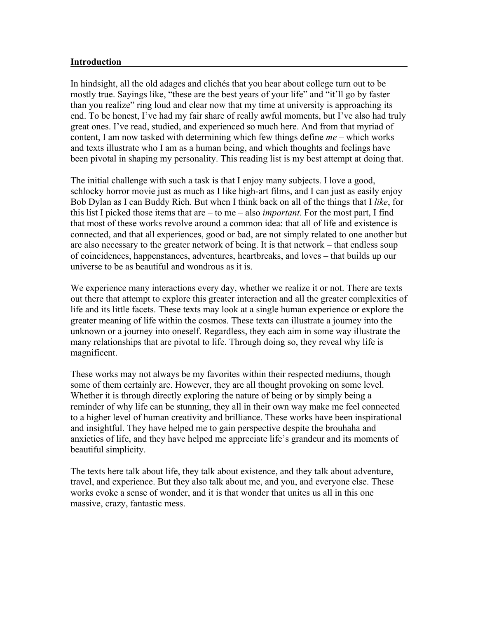## **Introduction**

In hindsight, all the old adages and clichés that you hear about college turn out to be mostly true. Sayings like, "these are the best years of your life" and "it'll go by faster than you realize" ring loud and clear now that my time at university is approaching its end. To be honest, I've had my fair share of really awful moments, but I've also had truly great ones. I've read, studied, and experienced so much here. And from that myriad of content, I am now tasked with determining which few things define *me* – which works and texts illustrate who I am as a human being, and which thoughts and feelings have been pivotal in shaping my personality. This reading list is my best attempt at doing that.

The initial challenge with such a task is that I enjoy many subjects. I love a good, schlocky horror movie just as much as I like high-art films, and I can just as easily enjoy Bob Dylan as I can Buddy Rich. But when I think back on all of the things that I *like*, for this list I picked those items that are – to me – also *important*. For the most part, I find that most of these works revolve around a common idea: that all of life and existence is connected, and that all experiences, good or bad, are not simply related to one another but are also necessary to the greater network of being. It is that network – that endless soup of coincidences, happenstances, adventures, heartbreaks, and loves – that builds up our universe to be as beautiful and wondrous as it is.

We experience many interactions every day, whether we realize it or not. There are texts out there that attempt to explore this greater interaction and all the greater complexities of life and its little facets. These texts may look at a single human experience or explore the greater meaning of life within the cosmos. These texts can illustrate a journey into the unknown or a journey into oneself. Regardless, they each aim in some way illustrate the many relationships that are pivotal to life. Through doing so, they reveal why life is magnificent.

These works may not always be my favorites within their respected mediums, though some of them certainly are. However, they are all thought provoking on some level. Whether it is through directly exploring the nature of being or by simply being a reminder of why life can be stunning, they all in their own way make me feel connected to a higher level of human creativity and brilliance. These works have been inspirational and insightful. They have helped me to gain perspective despite the brouhaha and anxieties of life, and they have helped me appreciate life's grandeur and its moments of beautiful simplicity.

The texts here talk about life, they talk about existence, and they talk about adventure, travel, and experience. But they also talk about me, and you, and everyone else. These works evoke a sense of wonder, and it is that wonder that unites us all in this one massive, crazy, fantastic mess.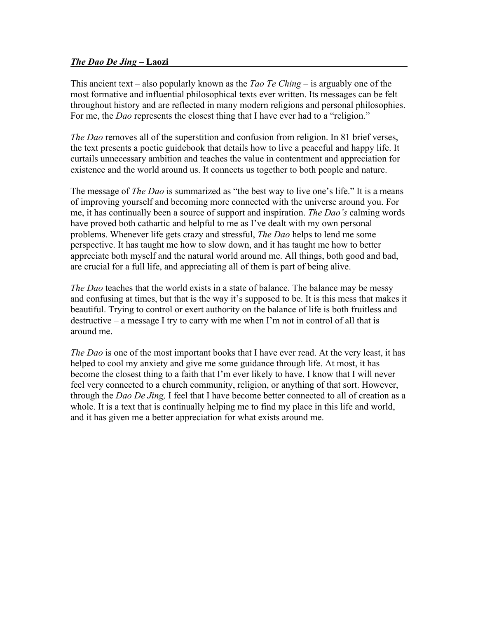## *The Dao De Jing* **– Laozi**

This ancient text – also popularly known as the *Tao Te Ching* – is arguably one of the most formative and influential philosophical texts ever written. Its messages can be felt throughout history and are reflected in many modern religions and personal philosophies. For me, the *Dao* represents the closest thing that I have ever had to a "religion."

*The Dao* removes all of the superstition and confusion from religion. In 81 brief verses, the text presents a poetic guidebook that details how to live a peaceful and happy life. It curtails unnecessary ambition and teaches the value in contentment and appreciation for existence and the world around us. It connects us together to both people and nature.

The message of *The Dao* is summarized as "the best way to live one's life." It is a means of improving yourself and becoming more connected with the universe around you. For me, it has continually been a source of support and inspiration. *The Dao's* calming words have proved both cathartic and helpful to me as I've dealt with my own personal problems. Whenever life gets crazy and stressful, *The Dao* helps to lend me some perspective. It has taught me how to slow down, and it has taught me how to better appreciate both myself and the natural world around me. All things, both good and bad, are crucial for a full life, and appreciating all of them is part of being alive.

*The Dao* teaches that the world exists in a state of balance. The balance may be messy and confusing at times, but that is the way it's supposed to be. It is this mess that makes it beautiful. Trying to control or exert authority on the balance of life is both fruitless and destructive – a message I try to carry with me when I'm not in control of all that is around me.

*The Dao* is one of the most important books that I have ever read. At the very least, it has helped to cool my anxiety and give me some guidance through life. At most, it has become the closest thing to a faith that I'm ever likely to have. I know that I will never feel very connected to a church community, religion, or anything of that sort. However, through the *Dao De Jing,* I feel that I have become better connected to all of creation as a whole. It is a text that is continually helping me to find my place in this life and world, and it has given me a better appreciation for what exists around me.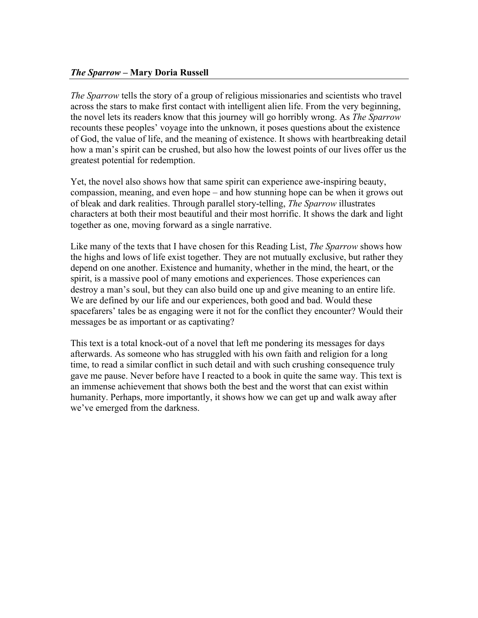## *The Sparrow* **– Mary Doria Russell**

*The Sparrow* tells the story of a group of religious missionaries and scientists who travel across the stars to make first contact with intelligent alien life. From the very beginning, the novel lets its readers know that this journey will go horribly wrong. As *The Sparrow* recounts these peoples' voyage into the unknown, it poses questions about the existence of God, the value of life, and the meaning of existence. It shows with heartbreaking detail how a man's spirit can be crushed, but also how the lowest points of our lives offer us the greatest potential for redemption.

Yet, the novel also shows how that same spirit can experience awe-inspiring beauty, compassion, meaning, and even hope – and how stunning hope can be when it grows out of bleak and dark realities. Through parallel story-telling, *The Sparrow* illustrates characters at both their most beautiful and their most horrific. It shows the dark and light together as one, moving forward as a single narrative.

Like many of the texts that I have chosen for this Reading List, *The Sparrow* shows how the highs and lows of life exist together. They are not mutually exclusive, but rather they depend on one another. Existence and humanity, whether in the mind, the heart, or the spirit, is a massive pool of many emotions and experiences. Those experiences can destroy a man's soul, but they can also build one up and give meaning to an entire life. We are defined by our life and our experiences, both good and bad. Would these spacefarers' tales be as engaging were it not for the conflict they encounter? Would their messages be as important or as captivating?

This text is a total knock-out of a novel that left me pondering its messages for days afterwards. As someone who has struggled with his own faith and religion for a long time, to read a similar conflict in such detail and with such crushing consequence truly gave me pause. Never before have I reacted to a book in quite the same way. This text is an immense achievement that shows both the best and the worst that can exist within humanity. Perhaps, more importantly, it shows how we can get up and walk away after we've emerged from the darkness.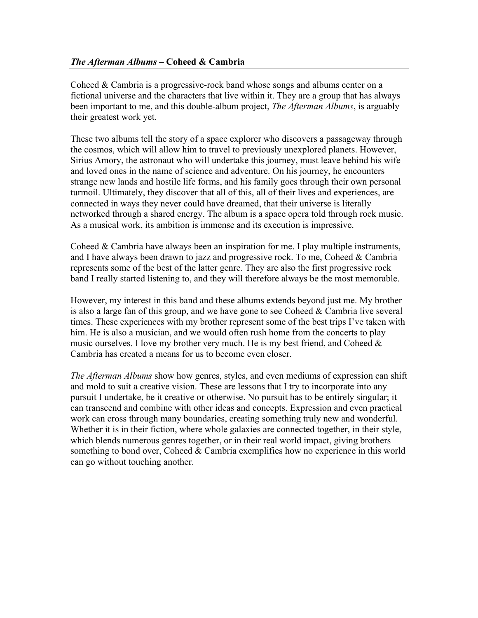Coheed & Cambria is a progressive-rock band whose songs and albums center on a fictional universe and the characters that live within it. They are a group that has always been important to me, and this double-album project, *The Afterman Albums*, is arguably their greatest work yet.

These two albums tell the story of a space explorer who discovers a passageway through the cosmos, which will allow him to travel to previously unexplored planets. However, Sirius Amory, the astronaut who will undertake this journey, must leave behind his wife and loved ones in the name of science and adventure. On his journey, he encounters strange new lands and hostile life forms, and his family goes through their own personal turmoil. Ultimately, they discover that all of this, all of their lives and experiences, are connected in ways they never could have dreamed, that their universe is literally networked through a shared energy. The album is a space opera told through rock music. As a musical work, its ambition is immense and its execution is impressive.

Coheed & Cambria have always been an inspiration for me. I play multiple instruments, and I have always been drawn to jazz and progressive rock. To me, Coheed  $& Cambria$ represents some of the best of the latter genre. They are also the first progressive rock band I really started listening to, and they will therefore always be the most memorable.

However, my interest in this band and these albums extends beyond just me. My brother is also a large fan of this group, and we have gone to see Coheed & Cambria live several times. These experiences with my brother represent some of the best trips I've taken with him. He is also a musician, and we would often rush home from the concerts to play music ourselves. I love my brother very much. He is my best friend, and Coheed  $\&$ Cambria has created a means for us to become even closer.

*The Afterman Albums* show how genres, styles, and even mediums of expression can shift and mold to suit a creative vision. These are lessons that I try to incorporate into any pursuit I undertake, be it creative or otherwise. No pursuit has to be entirely singular; it can transcend and combine with other ideas and concepts. Expression and even practical work can cross through many boundaries, creating something truly new and wonderful. Whether it is in their fiction, where whole galaxies are connected together, in their style, which blends numerous genres together, or in their real world impact, giving brothers something to bond over, Coheed & Cambria exemplifies how no experience in this world can go without touching another.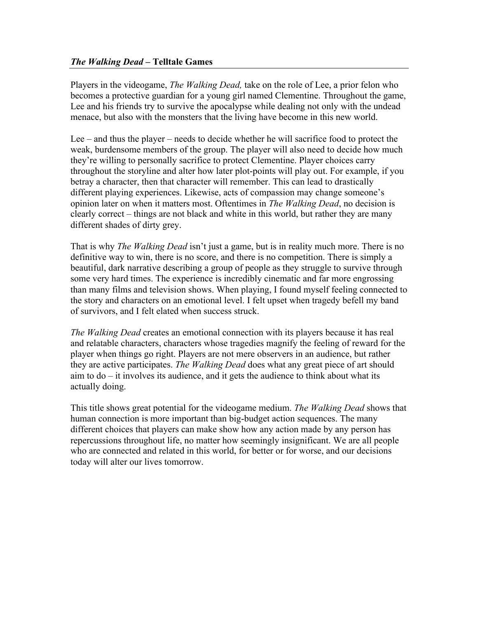# *The Walking Dead* **– Telltale Games**

Players in the videogame, *The Walking Dead,* take on the role of Lee, a prior felon who becomes a protective guardian for a young girl named Clementine. Throughout the game, Lee and his friends try to survive the apocalypse while dealing not only with the undead menace, but also with the monsters that the living have become in this new world.

Lee – and thus the player – needs to decide whether he will sacrifice food to protect the weak, burdensome members of the group. The player will also need to decide how much they're willing to personally sacrifice to protect Clementine. Player choices carry throughout the storyline and alter how later plot-points will play out. For example, if you betray a character, then that character will remember. This can lead to drastically different playing experiences. Likewise, acts of compassion may change someone's opinion later on when it matters most. Oftentimes in *The Walking Dead*, no decision is clearly correct – things are not black and white in this world, but rather they are many different shades of dirty grey.

That is why *The Walking Dead* isn't just a game, but is in reality much more. There is no definitive way to win, there is no score, and there is no competition. There is simply a beautiful, dark narrative describing a group of people as they struggle to survive through some very hard times. The experience is incredibly cinematic and far more engrossing than many films and television shows. When playing, I found myself feeling connected to the story and characters on an emotional level. I felt upset when tragedy befell my band of survivors, and I felt elated when success struck.

*The Walking Dead* creates an emotional connection with its players because it has real and relatable characters, characters whose tragedies magnify the feeling of reward for the player when things go right. Players are not mere observers in an audience, but rather they are active participates. *The Walking Dead* does what any great piece of art should aim to do – it involves its audience, and it gets the audience to think about what its actually doing.

This title shows great potential for the videogame medium. *The Walking Dead* shows that human connection is more important than big-budget action sequences. The many different choices that players can make show how any action made by any person has repercussions throughout life, no matter how seemingly insignificant. We are all people who are connected and related in this world, for better or for worse, and our decisions today will alter our lives tomorrow.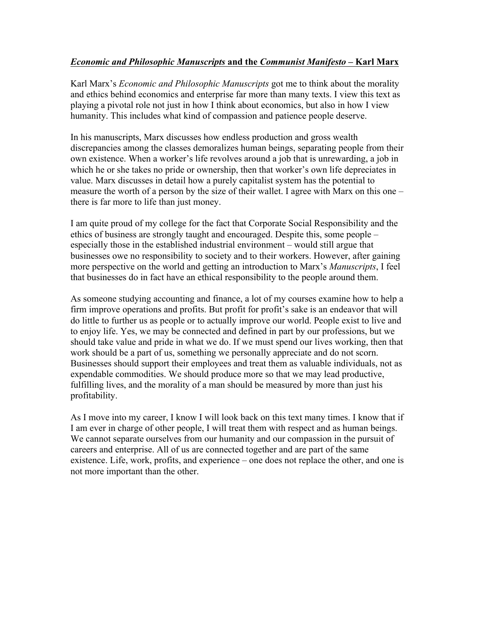# *Economic and Philosophic Manuscripts* **and the** *Communist Manifesto* **– Karl Marx**

Karl Marx's *Economic and Philosophic Manuscripts* got me to think about the morality and ethics behind economics and enterprise far more than many texts. I view this text as playing a pivotal role not just in how I think about economics, but also in how I view humanity. This includes what kind of compassion and patience people deserve.

In his manuscripts, Marx discusses how endless production and gross wealth discrepancies among the classes demoralizes human beings, separating people from their own existence. When a worker's life revolves around a job that is unrewarding, a job in which he or she takes no pride or ownership, then that worker's own life depreciates in value. Marx discusses in detail how a purely capitalist system has the potential to measure the worth of a person by the size of their wallet. I agree with Marx on this one – there is far more to life than just money.

I am quite proud of my college for the fact that Corporate Social Responsibility and the ethics of business are strongly taught and encouraged. Despite this, some people – especially those in the established industrial environment – would still argue that businesses owe no responsibility to society and to their workers. However, after gaining more perspective on the world and getting an introduction to Marx's *Manuscripts*, I feel that businesses do in fact have an ethical responsibility to the people around them.

As someone studying accounting and finance, a lot of my courses examine how to help a firm improve operations and profits. But profit for profit's sake is an endeavor that will do little to further us as people or to actually improve our world. People exist to live and to enjoy life. Yes, we may be connected and defined in part by our professions, but we should take value and pride in what we do. If we must spend our lives working, then that work should be a part of us, something we personally appreciate and do not scorn. Businesses should support their employees and treat them as valuable individuals, not as expendable commodities. We should produce more so that we may lead productive, fulfilling lives, and the morality of a man should be measured by more than just his profitability.

As I move into my career, I know I will look back on this text many times. I know that if I am ever in charge of other people, I will treat them with respect and as human beings. We cannot separate ourselves from our humanity and our compassion in the pursuit of careers and enterprise. All of us are connected together and are part of the same existence. Life, work, profits, and experience – one does not replace the other, and one is not more important than the other.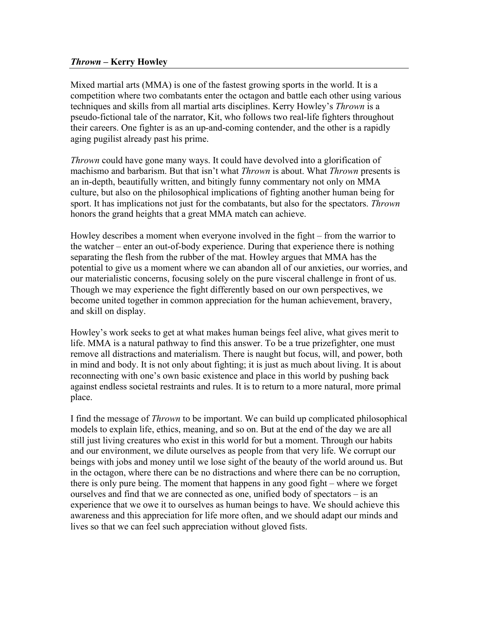### *Thrown –* **Kerry Howley**

Mixed martial arts (MMA) is one of the fastest growing sports in the world. It is a competition where two combatants enter the octagon and battle each other using various techniques and skills from all martial arts disciplines. Kerry Howley's *Thrown* is a pseudo-fictional tale of the narrator, Kit, who follows two real-life fighters throughout their careers. One fighter is as an up-and-coming contender, and the other is a rapidly aging pugilist already past his prime.

*Thrown* could have gone many ways. It could have devolved into a glorification of machismo and barbarism. But that isn't what *Thrown* is about. What *Thrown* presents is an in-depth, beautifully written, and bitingly funny commentary not only on MMA culture, but also on the philosophical implications of fighting another human being for sport. It has implications not just for the combatants, but also for the spectators. *Thrown*  honors the grand heights that a great MMA match can achieve.

Howley describes a moment when everyone involved in the fight – from the warrior to the watcher – enter an out-of-body experience. During that experience there is nothing separating the flesh from the rubber of the mat. Howley argues that MMA has the potential to give us a moment where we can abandon all of our anxieties, our worries, and our materialistic concerns, focusing solely on the pure visceral challenge in front of us. Though we may experience the fight differently based on our own perspectives, we become united together in common appreciation for the human achievement, bravery, and skill on display.

Howley's work seeks to get at what makes human beings feel alive, what gives merit to life. MMA is a natural pathway to find this answer. To be a true prizefighter, one must remove all distractions and materialism. There is naught but focus, will, and power, both in mind and body. It is not only about fighting; it is just as much about living. It is about reconnecting with one's own basic existence and place in this world by pushing back against endless societal restraints and rules. It is to return to a more natural, more primal place.

I find the message of *Thrown* to be important. We can build up complicated philosophical models to explain life, ethics, meaning, and so on. But at the end of the day we are all still just living creatures who exist in this world for but a moment. Through our habits and our environment, we dilute ourselves as people from that very life. We corrupt our beings with jobs and money until we lose sight of the beauty of the world around us. But in the octagon, where there can be no distractions and where there can be no corruption, there is only pure being. The moment that happens in any good fight – where we forget ourselves and find that we are connected as one, unified body of spectators – is an experience that we owe it to ourselves as human beings to have. We should achieve this awareness and this appreciation for life more often, and we should adapt our minds and lives so that we can feel such appreciation without gloved fists.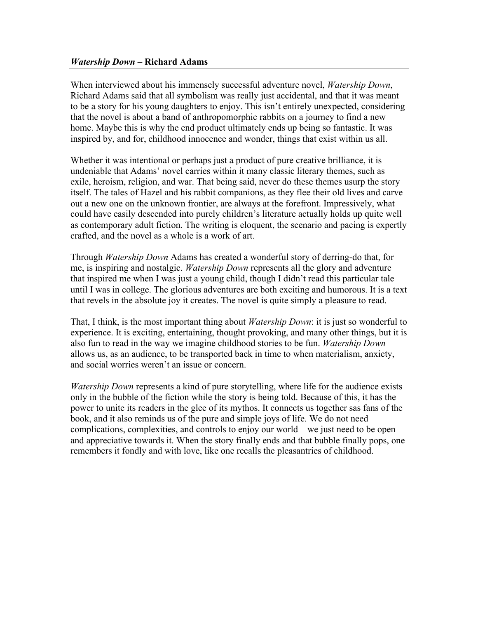### *Watership Down –* **Richard Adams**

When interviewed about his immensely successful adventure novel, *Watership Down*, Richard Adams said that all symbolism was really just accidental, and that it was meant to be a story for his young daughters to enjoy. This isn't entirely unexpected, considering that the novel is about a band of anthropomorphic rabbits on a journey to find a new home. Maybe this is why the end product ultimately ends up being so fantastic. It was inspired by, and for, childhood innocence and wonder, things that exist within us all.

Whether it was intentional or perhaps just a product of pure creative brilliance, it is undeniable that Adams' novel carries within it many classic literary themes, such as exile, heroism, religion, and war. That being said, never do these themes usurp the story itself. The tales of Hazel and his rabbit companions, as they flee their old lives and carve out a new one on the unknown frontier, are always at the forefront. Impressively, what could have easily descended into purely children's literature actually holds up quite well as contemporary adult fiction. The writing is eloquent, the scenario and pacing is expertly crafted, and the novel as a whole is a work of art.

Through *Watership Down* Adams has created a wonderful story of derring-do that, for me, is inspiring and nostalgic. *Watership Down* represents all the glory and adventure that inspired me when I was just a young child, though I didn't read this particular tale until I was in college. The glorious adventures are both exciting and humorous. It is a text that revels in the absolute joy it creates. The novel is quite simply a pleasure to read.

That, I think, is the most important thing about *Watership Down*: it is just so wonderful to experience. It is exciting, entertaining, thought provoking, and many other things, but it is also fun to read in the way we imagine childhood stories to be fun. *Watership Down* allows us, as an audience, to be transported back in time to when materialism, anxiety, and social worries weren't an issue or concern.

*Watership Down* represents a kind of pure storytelling, where life for the audience exists only in the bubble of the fiction while the story is being told. Because of this, it has the power to unite its readers in the glee of its mythos. It connects us together sas fans of the book, and it also reminds us of the pure and simple joys of life. We do not need complications, complexities, and controls to enjoy our world – we just need to be open and appreciative towards it. When the story finally ends and that bubble finally pops, one remembers it fondly and with love, like one recalls the pleasantries of childhood.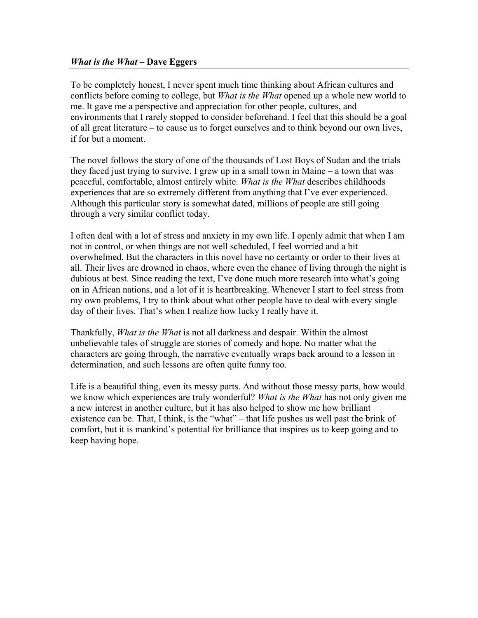## *What is the What* **– Dave Eggers**

To be completely honest, I never spent much time thinking about African cultures and conflicts before coming to college, but *What is the What* opened up a whole new world to me. It gave me a perspective and appreciation for other people, cultures, and environments that I rarely stopped to consider beforehand. I feel that this should be a goal of all great literature – to cause us to forget ourselves and to think beyond our own lives, if for but a moment.

The novel follows the story of one of the thousands of Lost Boys of Sudan and the trials they faced just trying to survive. I grew up in a small town in Maine – a town that was peaceful, comfortable, almost entirely white. *What is the What* describes childhoods experiences that are so extremely different from anything that I've ever experienced. Although this particular story is somewhat dated, millions of people are still going through a very similar conflict today.

I often deal with a lot of stress and anxiety in my own life. I openly admit that when I am not in control, or when things are not well scheduled, I feel worried and a bit overwhelmed. But the characters in this novel have no certainty or order to their lives at all. Their lives are drowned in chaos, where even the chance of living through the night is dubious at best. Since reading the text, I've done much more research into what's going on in African nations, and a lot of it is heartbreaking. Whenever I start to feel stress from my own problems, I try to think about what other people have to deal with every single day of their lives. That's when I realize how lucky I really have it.

Thankfully, *What is the What* is not all darkness and despair. Within the almost unbelievable tales of struggle are stories of comedy and hope. No matter what the characters are going through, the narrative eventually wraps back around to a lesson in determination, and such lessons are often quite funny too.

Life is a beautiful thing, even its messy parts. And without those messy parts, how would we know which experiences are truly wonderful? *What is the What* has not only given me a new interest in another culture, but it has also helped to show me how brilliant existence can be. That, I think, is the "what" – that life pushes us well past the brink of comfort, but it is mankind's potential for brilliance that inspires us to keep going and to keep having hope.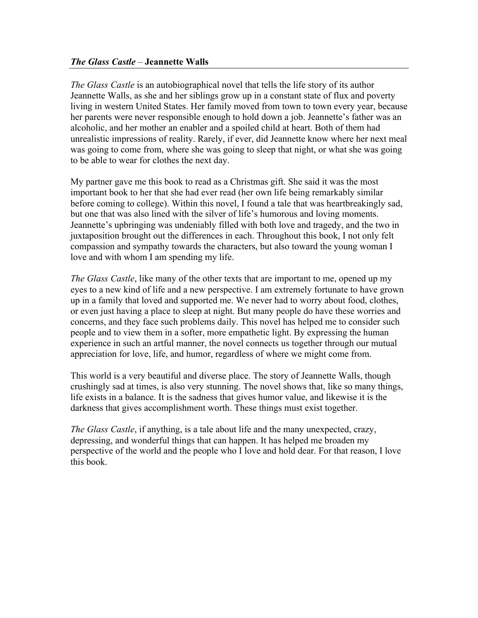## *The Glass Castle* – **Jeannette Walls**

*The Glass Castle* is an autobiographical novel that tells the life story of its author Jeannette Walls, as she and her siblings grow up in a constant state of flux and poverty living in western United States. Her family moved from town to town every year, because her parents were never responsible enough to hold down a job. Jeannette's father was an alcoholic, and her mother an enabler and a spoiled child at heart. Both of them had unrealistic impressions of reality. Rarely, if ever, did Jeannette know where her next meal was going to come from, where she was going to sleep that night, or what she was going to be able to wear for clothes the next day.

My partner gave me this book to read as a Christmas gift. She said it was the most important book to her that she had ever read (her own life being remarkably similar before coming to college). Within this novel, I found a tale that was heartbreakingly sad, but one that was also lined with the silver of life's humorous and loving moments. Jeannette's upbringing was undeniably filled with both love and tragedy, and the two in juxtaposition brought out the differences in each. Throughout this book, I not only felt compassion and sympathy towards the characters, but also toward the young woman I love and with whom I am spending my life.

*The Glass Castle*, like many of the other texts that are important to me, opened up my eyes to a new kind of life and a new perspective. I am extremely fortunate to have grown up in a family that loved and supported me. We never had to worry about food, clothes, or even just having a place to sleep at night. But many people do have these worries and concerns, and they face such problems daily. This novel has helped me to consider such people and to view them in a softer, more empathetic light. By expressing the human experience in such an artful manner, the novel connects us together through our mutual appreciation for love, life, and humor, regardless of where we might come from.

This world is a very beautiful and diverse place. The story of Jeannette Walls, though crushingly sad at times, is also very stunning. The novel shows that, like so many things, life exists in a balance. It is the sadness that gives humor value, and likewise it is the darkness that gives accomplishment worth. These things must exist together.

*The Glass Castle*, if anything, is a tale about life and the many unexpected, crazy, depressing, and wonderful things that can happen. It has helped me broaden my perspective of the world and the people who I love and hold dear. For that reason, I love this book.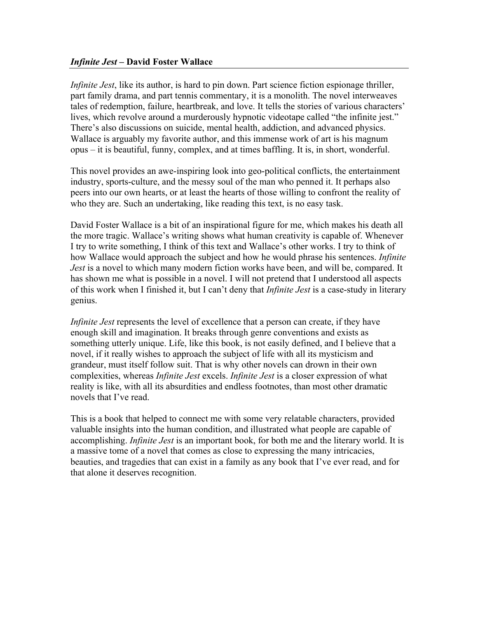## *Infinite Jest –* **David Foster Wallace**

*Infinite Jest*, like its author, is hard to pin down. Part science fiction espionage thriller, part family drama, and part tennis commentary, it is a monolith. The novel interweaves tales of redemption, failure, heartbreak, and love. It tells the stories of various characters' lives, which revolve around a murderously hypnotic videotape called "the infinite jest." There's also discussions on suicide, mental health, addiction, and advanced physics. Wallace is arguably my favorite author, and this immense work of art is his magnum opus – it is beautiful, funny, complex, and at times baffling. It is, in short, wonderful.

This novel provides an awe-inspiring look into geo-political conflicts, the entertainment industry, sports-culture, and the messy soul of the man who penned it. It perhaps also peers into our own hearts, or at least the hearts of those willing to confront the reality of who they are. Such an undertaking, like reading this text, is no easy task.

David Foster Wallace is a bit of an inspirational figure for me, which makes his death all the more tragic. Wallace's writing shows what human creativity is capable of. Whenever I try to write something, I think of this text and Wallace's other works. I try to think of how Wallace would approach the subject and how he would phrase his sentences. *Infinite Jest* is a novel to which many modern fiction works have been, and will be, compared. It has shown me what is possible in a novel. I will not pretend that I understood all aspects of this work when I finished it, but I can't deny that *Infinite Jest* is a case-study in literary genius.

*Infinite Jest* represents the level of excellence that a person can create, if they have enough skill and imagination. It breaks through genre conventions and exists as something utterly unique. Life, like this book, is not easily defined, and I believe that a novel, if it really wishes to approach the subject of life with all its mysticism and grandeur, must itself follow suit. That is why other novels can drown in their own complexities, whereas *Infinite Jest* excels. *Infinite Jest* is a closer expression of what reality is like, with all its absurdities and endless footnotes, than most other dramatic novels that I've read.

This is a book that helped to connect me with some very relatable characters, provided valuable insights into the human condition, and illustrated what people are capable of accomplishing. *Infinite Jest* is an important book, for both me and the literary world. It is a massive tome of a novel that comes as close to expressing the many intricacies, beauties, and tragedies that can exist in a family as any book that I've ever read, and for that alone it deserves recognition.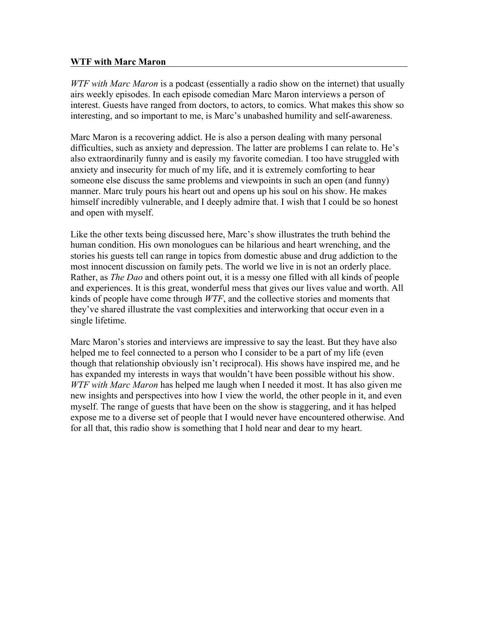## **WTF with Marc Maron**

*WTF with Marc Maron* is a podcast (essentially a radio show on the internet) that usually airs weekly episodes. In each episode comedian Marc Maron interviews a person of interest. Guests have ranged from doctors, to actors, to comics. What makes this show so interesting, and so important to me, is Marc's unabashed humility and self-awareness.

Marc Maron is a recovering addict. He is also a person dealing with many personal difficulties, such as anxiety and depression. The latter are problems I can relate to. He's also extraordinarily funny and is easily my favorite comedian. I too have struggled with anxiety and insecurity for much of my life, and it is extremely comforting to hear someone else discuss the same problems and viewpoints in such an open (and funny) manner. Marc truly pours his heart out and opens up his soul on his show. He makes himself incredibly vulnerable, and I deeply admire that. I wish that I could be so honest and open with myself.

Like the other texts being discussed here, Marc's show illustrates the truth behind the human condition. His own monologues can be hilarious and heart wrenching, and the stories his guests tell can range in topics from domestic abuse and drug addiction to the most innocent discussion on family pets. The world we live in is not an orderly place. Rather, as *The Dao* and others point out, it is a messy one filled with all kinds of people and experiences. It is this great, wonderful mess that gives our lives value and worth. All kinds of people have come through *WTF*, and the collective stories and moments that they've shared illustrate the vast complexities and interworking that occur even in a single lifetime.

Marc Maron's stories and interviews are impressive to say the least. But they have also helped me to feel connected to a person who I consider to be a part of my life (even though that relationship obviously isn't reciprocal). His shows have inspired me, and he has expanded my interests in ways that wouldn't have been possible without his show. *WTF with Marc Maron* has helped me laugh when I needed it most. It has also given me new insights and perspectives into how I view the world, the other people in it, and even myself. The range of guests that have been on the show is staggering, and it has helped expose me to a diverse set of people that I would never have encountered otherwise. And for all that, this radio show is something that I hold near and dear to my heart.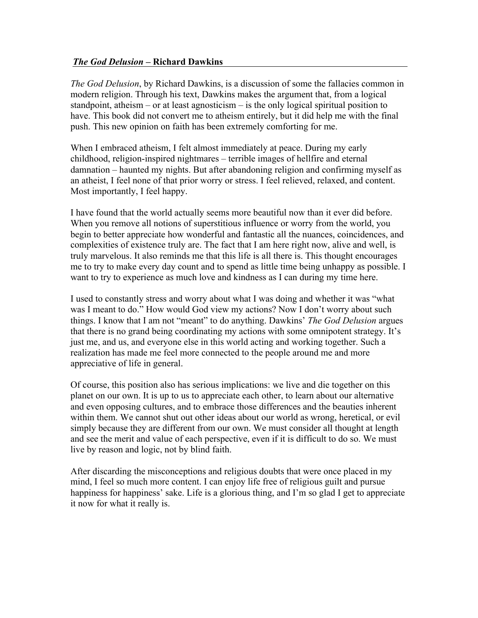## *The God Delusion –* **Richard Dawkins**

*The God Delusion*, by Richard Dawkins, is a discussion of some the fallacies common in modern religion. Through his text, Dawkins makes the argument that, from a logical standpoint, atheism – or at least agnosticism – is the only logical spiritual position to have. This book did not convert me to atheism entirely, but it did help me with the final push. This new opinion on faith has been extremely comforting for me.

When I embraced atheism, I felt almost immediately at peace. During my early childhood, religion-inspired nightmares – terrible images of hellfire and eternal damnation – haunted my nights. But after abandoning religion and confirming myself as an atheist, I feel none of that prior worry or stress. I feel relieved, relaxed, and content. Most importantly, I feel happy.

I have found that the world actually seems more beautiful now than it ever did before. When you remove all notions of superstitious influence or worry from the world, you begin to better appreciate how wonderful and fantastic all the nuances, coincidences, and complexities of existence truly are. The fact that I am here right now, alive and well, is truly marvelous. It also reminds me that this life is all there is. This thought encourages me to try to make every day count and to spend as little time being unhappy as possible. I want to try to experience as much love and kindness as I can during my time here.

I used to constantly stress and worry about what I was doing and whether it was "what was I meant to do." How would God view my actions? Now I don't worry about such things. I know that I am not "meant" to do anything. Dawkins' *The God Delusion* argues that there is no grand being coordinating my actions with some omnipotent strategy. It's just me, and us, and everyone else in this world acting and working together. Such a realization has made me feel more connected to the people around me and more appreciative of life in general.

Of course, this position also has serious implications: we live and die together on this planet on our own. It is up to us to appreciate each other, to learn about our alternative and even opposing cultures, and to embrace those differences and the beauties inherent within them. We cannot shut out other ideas about our world as wrong, heretical, or evil simply because they are different from our own. We must consider all thought at length and see the merit and value of each perspective, even if it is difficult to do so. We must live by reason and logic, not by blind faith.

After discarding the misconceptions and religious doubts that were once placed in my mind, I feel so much more content. I can enjoy life free of religious guilt and pursue happiness for happiness' sake. Life is a glorious thing, and I'm so glad I get to appreciate it now for what it really is.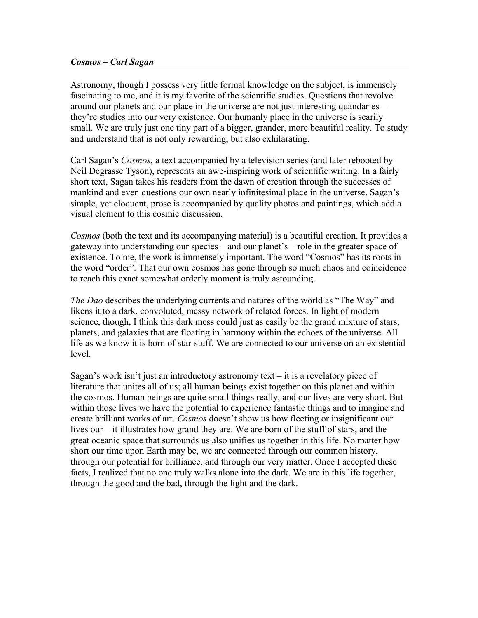#### *Cosmos – Carl Sagan*

Astronomy, though I possess very little formal knowledge on the subject, is immensely fascinating to me, and it is my favorite of the scientific studies. Questions that revolve around our planets and our place in the universe are not just interesting quandaries – they're studies into our very existence. Our humanly place in the universe is scarily small. We are truly just one tiny part of a bigger, grander, more beautiful reality. To study and understand that is not only rewarding, but also exhilarating.

Carl Sagan's *Cosmos*, a text accompanied by a television series (and later rebooted by Neil Degrasse Tyson), represents an awe-inspiring work of scientific writing. In a fairly short text, Sagan takes his readers from the dawn of creation through the successes of mankind and even questions our own nearly infinitesimal place in the universe. Sagan's simple, yet eloquent, prose is accompanied by quality photos and paintings, which add a visual element to this cosmic discussion.

*Cosmos* (both the text and its accompanying material) is a beautiful creation. It provides a gateway into understanding our species – and our planet's – role in the greater space of existence. To me, the work is immensely important. The word "Cosmos" has its roots in the word "order". That our own cosmos has gone through so much chaos and coincidence to reach this exact somewhat orderly moment is truly astounding.

*The Dao* describes the underlying currents and natures of the world as "The Way" and likens it to a dark, convoluted, messy network of related forces. In light of modern science, though, I think this dark mess could just as easily be the grand mixture of stars, planets, and galaxies that are floating in harmony within the echoes of the universe. All life as we know it is born of star-stuff. We are connected to our universe on an existential level.

Sagan's work isn't just an introductory astronomy text – it is a revelatory piece of literature that unites all of us; all human beings exist together on this planet and within the cosmos. Human beings are quite small things really, and our lives are very short. But within those lives we have the potential to experience fantastic things and to imagine and create brilliant works of art. *Cosmos* doesn't show us how fleeting or insignificant our lives our – it illustrates how grand they are. We are born of the stuff of stars, and the great oceanic space that surrounds us also unifies us together in this life. No matter how short our time upon Earth may be, we are connected through our common history, through our potential for brilliance, and through our very matter. Once I accepted these facts, I realized that no one truly walks alone into the dark. We are in this life together, through the good and the bad, through the light and the dark.